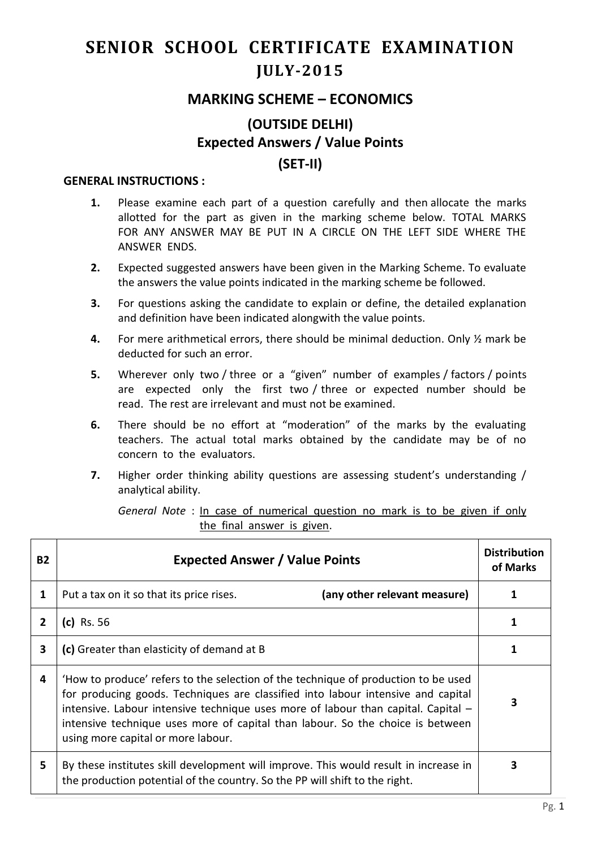## **SENIOR SCHOOL CERTIFICATE EXAMINATION JULY-2015**

## **MARKING SCHEME – ECONOMICS**

## **(OUTSIDE DELHI) Expected Answers / Value Points (SET-II)**

## **GENERAL INSTRUCTIONS :**

- **1.** Please examine each part of a question carefully and then allocate the marks allotted for the part as given in the marking scheme below. TOTAL MARKS FOR ANY ANSWER MAY BE PUT IN A CIRCLE ON THE LEFT SIDE WHERE THE ANSWER ENDS.
- **2.** Expected suggested answers have been given in the Marking Scheme. To evaluate the answers the value points indicated in the marking scheme be followed.
- **3.** For questions asking the candidate to explain or define, the detailed explanation and definition have been indicated alongwith the value points.
- **4.** For mere arithmetical errors, there should be minimal deduction. Only ½ mark be deducted for such an error.
- **5.** Wherever only two / three or a "given" number of examples / factors / points are expected only the first two / three or expected number should be read. The rest are irrelevant and must not be examined.
- **6.** There should be no effort at "moderation" of the marks by the evaluating teachers. The actual total marks obtained by the candidate may be of no concern to the evaluators.
- **7.** Higher order thinking ability questions are assessing student's understanding / analytical ability.

*General Note* : In case of numerical question no mark is to be given if only the final answer is given.

| <b>B2</b>      | <b>Expected Answer / Value Points</b>                                                                                                                                                                                                                                                                                                                                               |   |
|----------------|-------------------------------------------------------------------------------------------------------------------------------------------------------------------------------------------------------------------------------------------------------------------------------------------------------------------------------------------------------------------------------------|---|
| 1              | (any other relevant measure)<br>Put a tax on it so that its price rises.                                                                                                                                                                                                                                                                                                            |   |
| $\overline{2}$ | $(c)$ Rs. 56                                                                                                                                                                                                                                                                                                                                                                        |   |
| $\mathbf{3}$   | (c) Greater than elasticity of demand at B                                                                                                                                                                                                                                                                                                                                          |   |
| 4              | 'How to produce' refers to the selection of the technique of production to be used<br>for producing goods. Techniques are classified into labour intensive and capital<br>intensive. Labour intensive technique uses more of labour than capital. Capital -<br>intensive technique uses more of capital than labour. So the choice is between<br>using more capital or more labour. | 3 |
| 5              | By these institutes skill development will improve. This would result in increase in<br>the production potential of the country. So the PP will shift to the right.                                                                                                                                                                                                                 | 3 |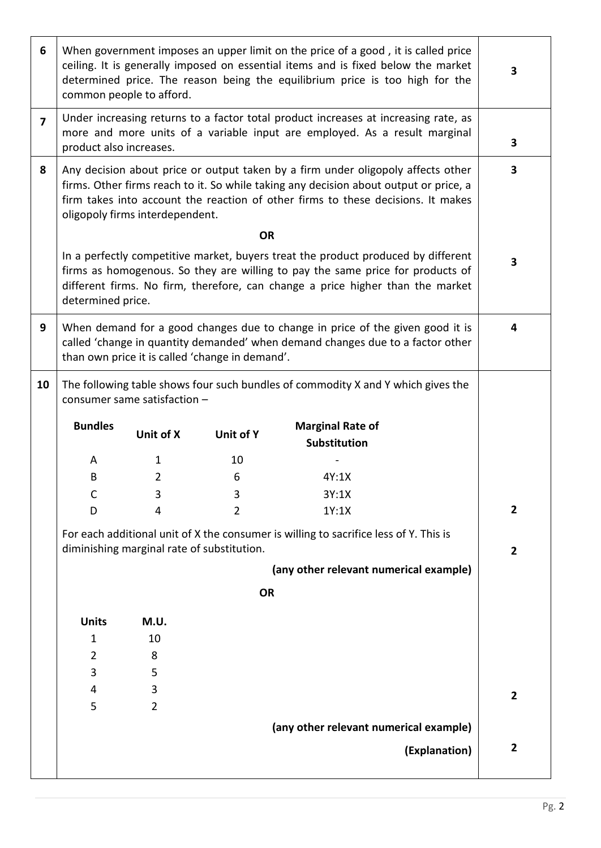| 6              |                                                                                                                                                                                                                                                                                                  | common people to afford. |                                                 | When government imposes an upper limit on the price of a good, it is called price<br>ceiling. It is generally imposed on essential items and is fixed below the market<br>determined price. The reason being the equilibrium price is too high for the | 3              |
|----------------|--------------------------------------------------------------------------------------------------------------------------------------------------------------------------------------------------------------------------------------------------------------------------------------------------|--------------------------|-------------------------------------------------|--------------------------------------------------------------------------------------------------------------------------------------------------------------------------------------------------------------------------------------------------------|----------------|
| $\overline{7}$ | Under increasing returns to a factor total product increases at increasing rate, as<br>more and more units of a variable input are employed. As a result marginal<br>product also increases.                                                                                                     |                          |                                                 |                                                                                                                                                                                                                                                        | 3              |
| 8              | Any decision about price or output taken by a firm under oligopoly affects other<br>firms. Other firms reach to it. So while taking any decision about output or price, a<br>firm takes into account the reaction of other firms to these decisions. It makes<br>oligopoly firms interdependent. |                          |                                                 |                                                                                                                                                                                                                                                        | 3              |
|                |                                                                                                                                                                                                                                                                                                  |                          | <b>OR</b>                                       |                                                                                                                                                                                                                                                        |                |
|                | determined price.                                                                                                                                                                                                                                                                                |                          |                                                 | In a perfectly competitive market, buyers treat the product produced by different<br>firms as homogenous. So they are willing to pay the same price for products of<br>different firms. No firm, therefore, can change a price higher than the market  | 3              |
| 9              |                                                                                                                                                                                                                                                                                                  |                          | than own price it is called 'change in demand'. | When demand for a good changes due to change in price of the given good it is<br>called 'change in quantity demanded' when demand changes due to a factor other                                                                                        | 4              |
| 10             | The following table shows four such bundles of commodity X and Y which gives the<br>consumer same satisfaction -                                                                                                                                                                                 |                          |                                                 |                                                                                                                                                                                                                                                        |                |
|                | <b>Bundles</b>                                                                                                                                                                                                                                                                                   | Unit of X                | Unit of Y                                       | <b>Marginal Rate of</b><br>Substitution                                                                                                                                                                                                                |                |
|                | A                                                                                                                                                                                                                                                                                                | 1                        | 10                                              |                                                                                                                                                                                                                                                        |                |
|                | B                                                                                                                                                                                                                                                                                                | $\overline{2}$           | 6                                               | 4Y:1X                                                                                                                                                                                                                                                  |                |
|                | С                                                                                                                                                                                                                                                                                                | 3                        | 3                                               | 3Y:1X                                                                                                                                                                                                                                                  |                |
|                | D                                                                                                                                                                                                                                                                                                | 4                        | $\overline{2}$                                  | 1Y:1X                                                                                                                                                                                                                                                  | $\overline{2}$ |
|                | For each additional unit of X the consumer is willing to sacrifice less of Y. This is<br>diminishing marginal rate of substitution.                                                                                                                                                              |                          |                                                 |                                                                                                                                                                                                                                                        | $\overline{2}$ |
|                |                                                                                                                                                                                                                                                                                                  |                          |                                                 | (any other relevant numerical example)                                                                                                                                                                                                                 |                |
|                |                                                                                                                                                                                                                                                                                                  |                          | <b>OR</b>                                       |                                                                                                                                                                                                                                                        |                |
|                |                                                                                                                                                                                                                                                                                                  |                          |                                                 |                                                                                                                                                                                                                                                        |                |
|                | <b>Units</b>                                                                                                                                                                                                                                                                                     | M.U.                     |                                                 |                                                                                                                                                                                                                                                        |                |
|                | 1                                                                                                                                                                                                                                                                                                | 10                       |                                                 |                                                                                                                                                                                                                                                        |                |
|                | 2<br>3                                                                                                                                                                                                                                                                                           | 8<br>5                   |                                                 |                                                                                                                                                                                                                                                        |                |
|                | 4                                                                                                                                                                                                                                                                                                | 3                        |                                                 |                                                                                                                                                                                                                                                        |                |
|                | 5                                                                                                                                                                                                                                                                                                | $\overline{2}$           |                                                 |                                                                                                                                                                                                                                                        | $\overline{2}$ |
|                |                                                                                                                                                                                                                                                                                                  |                          |                                                 | (any other relevant numerical example)                                                                                                                                                                                                                 |                |
|                |                                                                                                                                                                                                                                                                                                  |                          |                                                 |                                                                                                                                                                                                                                                        |                |
|                |                                                                                                                                                                                                                                                                                                  |                          |                                                 | (Explanation)                                                                                                                                                                                                                                          | $\overline{2}$ |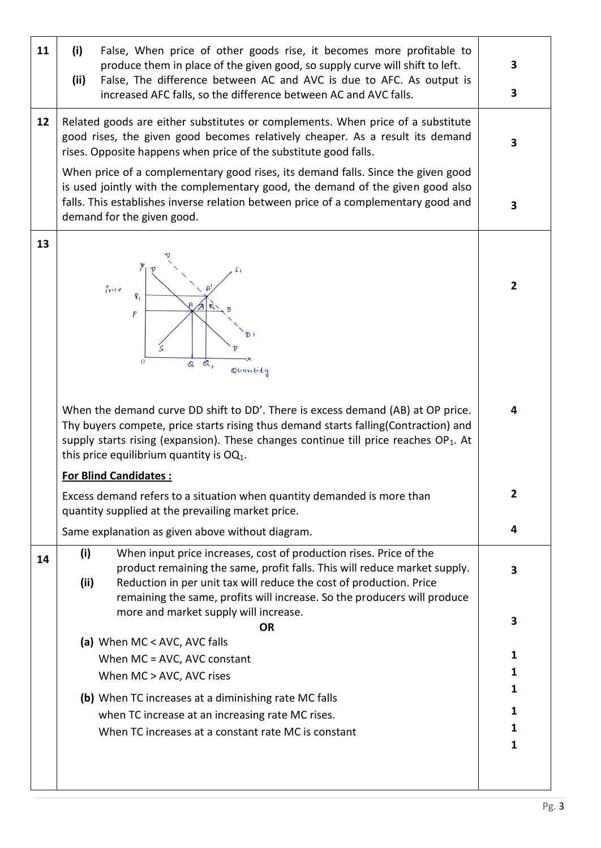| 11 | (i)<br>False, When price of other goods rise, it becomes more profitable to<br>produce them in place of the given good, so supply curve will shift to left.<br>False, The difference between AC and AVC is due to AFC. As output is<br>(ii)<br>increased AFC falls, so the difference between AC and AVC falls.   | 3<br>3         |  |
|----|-------------------------------------------------------------------------------------------------------------------------------------------------------------------------------------------------------------------------------------------------------------------------------------------------------------------|----------------|--|
| 12 | Related goods are either substitutes or complements. When price of a substitute<br>good rises, the given good becomes relatively cheaper. As a result its demand<br>rises. Opposite happens when price of the substitute good falls.                                                                              |                |  |
|    | When price of a complementary good rises, its demand falls. Since the given good<br>is used jointly with the complementary good, the demand of the given good also<br>falls. This establishes inverse relation between price of a complementary good and<br>demand for the given good.                            |                |  |
| 13 | Price<br>$\kappa$<br>P<br>$\mathcal{O}$<br>$\alpha$ ,<br>$\mathbf{\Omega}$<br>Quantity                                                                                                                                                                                                                            | $\overline{2}$ |  |
|    | When the demand curve DD shift to DD'. There is excess demand (AB) at OP price.<br>Thy buyers compete, price starts rising thus demand starts falling(Contraction) and<br>supply starts rising (expansion). These changes continue till price reaches $OP_1$ . At<br>this price equilibrium quantity is $OQ_1$ .  |                |  |
|    | <b>For Blind Candidates:</b><br>Excess demand refers to a situation when quantity demanded is more than<br>quantity supplied at the prevailing market price.                                                                                                                                                      | 2              |  |
|    | Same explanation as given above without diagram.                                                                                                                                                                                                                                                                  | 4              |  |
| 14 | When input price increases, cost of production rises. Price of the<br>(i)<br>product remaining the same, profit falls. This will reduce market supply.<br>(ii)<br>Reduction in per unit tax will reduce the cost of production. Price<br>remaining the same, profits will increase. So the producers will produce | 3              |  |
|    | more and market supply will increase.<br><b>OR</b>                                                                                                                                                                                                                                                                | 3              |  |
|    | (a) When MC < AVC, AVC falls                                                                                                                                                                                                                                                                                      | 1              |  |
|    | When MC = AVC, AVC constant<br>When MC > AVC, AVC rises                                                                                                                                                                                                                                                           | 1              |  |
|    | (b) When TC increases at a diminishing rate MC falls                                                                                                                                                                                                                                                              | 1              |  |
|    | when TC increase at an increasing rate MC rises.                                                                                                                                                                                                                                                                  |                |  |
|    | When TC increases at a constant rate MC is constant                                                                                                                                                                                                                                                               | 1<br>1         |  |
|    |                                                                                                                                                                                                                                                                                                                   |                |  |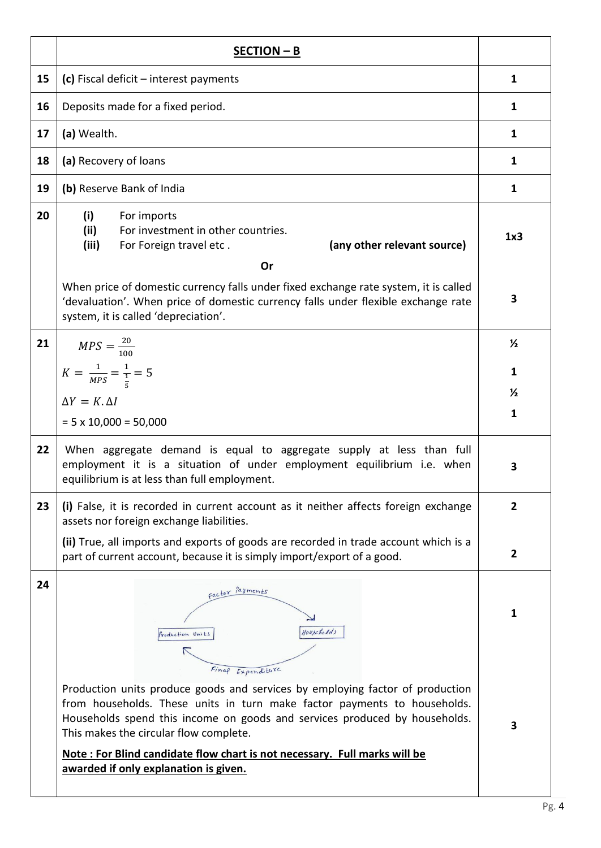|    | $SECTION - B$                                                                                                                                                                                                                                                                                                                                                                                                          |                |  |  |  |  |
|----|------------------------------------------------------------------------------------------------------------------------------------------------------------------------------------------------------------------------------------------------------------------------------------------------------------------------------------------------------------------------------------------------------------------------|----------------|--|--|--|--|
| 15 | (c) Fiscal deficit $-$ interest payments                                                                                                                                                                                                                                                                                                                                                                               | $\mathbf{1}$   |  |  |  |  |
| 16 | Deposits made for a fixed period.                                                                                                                                                                                                                                                                                                                                                                                      | 1              |  |  |  |  |
| 17 | (a) Wealth.                                                                                                                                                                                                                                                                                                                                                                                                            | $\mathbf{1}$   |  |  |  |  |
| 18 | (a) Recovery of loans                                                                                                                                                                                                                                                                                                                                                                                                  | 1              |  |  |  |  |
| 19 | (b) Reserve Bank of India                                                                                                                                                                                                                                                                                                                                                                                              | $\mathbf{1}$   |  |  |  |  |
| 20 | (i)<br>For imports<br>(ii)<br>For investment in other countries.<br>(iii)<br>(any other relevant source)<br>For Foreign travel etc.                                                                                                                                                                                                                                                                                    | 1x3            |  |  |  |  |
|    | Or<br>When price of domestic currency falls under fixed exchange rate system, it is called<br>'devaluation'. When price of domestic currency falls under flexible exchange rate<br>system, it is called 'depreciation'.                                                                                                                                                                                                |                |  |  |  |  |
| 21 | $MPS = \frac{20}{100}$                                                                                                                                                                                                                                                                                                                                                                                                 | $\frac{1}{2}$  |  |  |  |  |
|    | $K = \frac{1}{MPS} = \frac{1}{\frac{1}{5}} = 5$                                                                                                                                                                                                                                                                                                                                                                        | $\mathbf{1}$   |  |  |  |  |
|    | $\Delta Y = K, \Delta I$                                                                                                                                                                                                                                                                                                                                                                                               | $\frac{1}{2}$  |  |  |  |  |
|    | $= 5 \times 10,000 = 50,000$                                                                                                                                                                                                                                                                                                                                                                                           | $\mathbf{1}$   |  |  |  |  |
| 22 | When aggregate demand is equal to aggregate supply at less than full<br>employment it is a situation of under employment equilibrium i.e. when<br>equilibrium is at less than full employment.                                                                                                                                                                                                                         | 3              |  |  |  |  |
| 23 | (i) False, it is recorded in current account as it neither affects foreign exchange<br>assets nor foreign exchange liabilities.                                                                                                                                                                                                                                                                                        | $\overline{2}$ |  |  |  |  |
|    | (ii) True, all imports and exports of goods are recorded in trade account which is a<br>part of current account, because it is simply import/export of a good.                                                                                                                                                                                                                                                         | $\overline{2}$ |  |  |  |  |
| 24 | factor <i>Payments</i><br>Houscholds<br>Production Units                                                                                                                                                                                                                                                                                                                                                               | 1              |  |  |  |  |
|    | Expenditure<br>Production units produce goods and services by employing factor of production<br>from households. These units in turn make factor payments to households.<br>Households spend this income on goods and services produced by households.<br>This makes the circular flow complete.<br>Note: For Blind candidate flow chart is not necessary. Full marks will be<br>awarded if only explanation is given. | 3              |  |  |  |  |